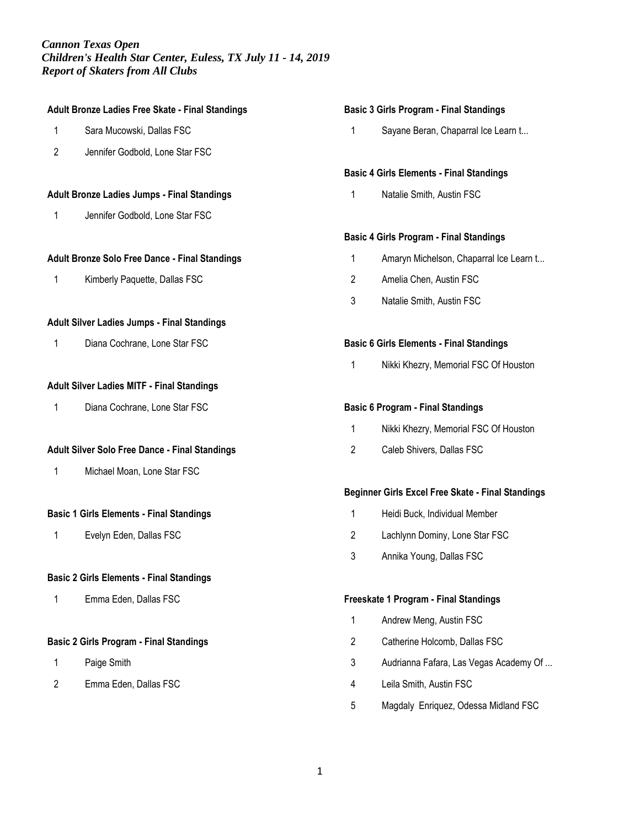## **Adult Bronze Ladies Free Skate - Final Standings**

- 1 Sara Mucowski, Dallas FSC
- 2 Jennifer Godbold, Lone Star FSC

### **Adult Bronze Ladies Jumps - Final Standings**

1 Jennifer Godbold, Lone Star FSC

### **Adult Bronze Solo Free Dance - Final Standings**

1 Kimberly Paquette, Dallas FSC

### **Adult Silver Ladies Jumps - Final Standings**

1 Diana Cochrane, Lone Star FSC

### **Adult Silver Ladies MITF - Final Standings**

1 Diana Cochrane, Lone Star FSC

### **Adult Silver Solo Free Dance - Final Standings**

1 Michael Moan, Lone Star FSC

# **Basic 1 Girls Elements - Final Standings**

1 Evelyn Eden, Dallas FSC

# **Basic 2 Girls Elements - Final Standings**

1 Emma Eden, Dallas FSC

#### **Basic 2 Girls Program - Final Standings**

- 1 Paige Smith
- 2 Emma Eden, Dallas FSC

#### **Basic 3 Girls Program - Final Standings**

1 Sayane Beran, Chaparral Ice Learn t...

#### **Basic 4 Girls Elements - Final Standings**

1 Natalie Smith, Austin FSC

# **Basic 4 Girls Program - Final Standings**

- 1 Amaryn Michelson, Chaparral Ice Learn t...
- 2 Amelia Chen, Austin FSC
- 3 Natalie Smith, Austin FSC

### **Basic 6 Girls Elements - Final Standings**

1 Nikki Khezry, Memorial FSC Of Houston

### **Basic 6 Program - Final Standings**

- 1 Nikki Khezry, Memorial FSC Of Houston
- 2 Caleb Shivers, Dallas FSC

### **Beginner Girls Excel Free Skate - Final Standings**

- 1 Heidi Buck, Individual Member
- 2 Lachlynn Dominy, Lone Star FSC
- 3 Annika Young, Dallas FSC

### **Freeskate 1 Program - Final Standings**

- 1 Andrew Meng, Austin FSC
- 2 Catherine Holcomb, Dallas FSC
- 3 Audrianna Fafara, Las Vegas Academy Of ...
- 4 Leila Smith, Austin FSC
- 5 Magdaly Enriquez, Odessa Midland FSC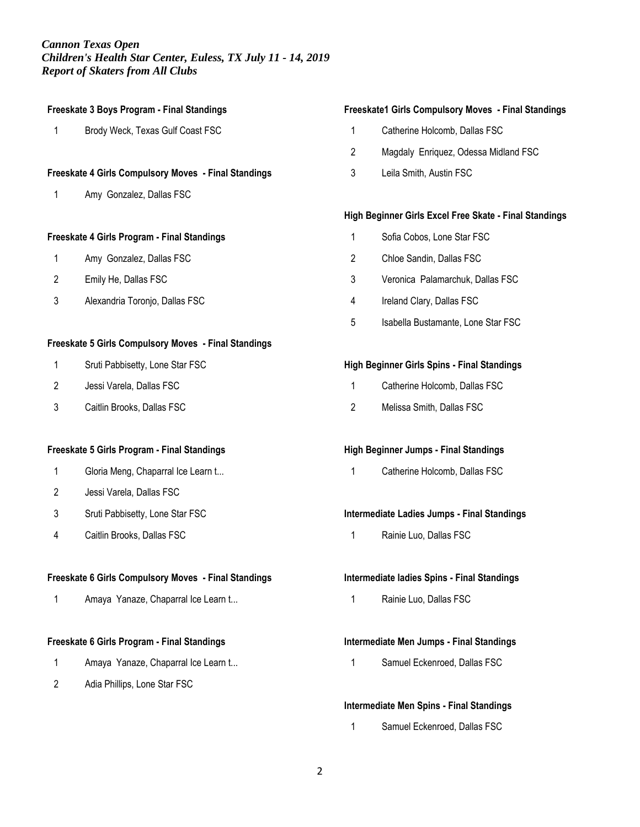| Freeskate 3 Boys Program - Final Standings                  |                                     |  |
|-------------------------------------------------------------|-------------------------------------|--|
| 1                                                           | Brody Weck, Texas Gulf Coast FSC    |  |
|                                                             |                                     |  |
| <b>Freeskate 4 Girls Compulsory Moves - Final Standings</b> |                                     |  |
| 1                                                           | Amy Gonzalez, Dallas FSC            |  |
|                                                             |                                     |  |
| Freeskate 4 Girls Program - Final Standings                 |                                     |  |
| 1                                                           | Amy Gonzalez, Dallas FSC            |  |
| 2                                                           | Emily He, Dallas FSC                |  |
| 3                                                           | Alexandria Toronjo, Dallas FSC      |  |
|                                                             |                                     |  |
| Freeskate 5 Girls Compulsory Moves - Final Standings        |                                     |  |
| 1                                                           | Sruti Pabbisetty, Lone Star FSC     |  |
| 2                                                           | Jessi Varela, Dallas FSC            |  |
| 3                                                           | Caitlin Brooks, Dallas FSC          |  |
|                                                             |                                     |  |
| Freeskate 5 Girls Program - Final Standings                 |                                     |  |
| 1                                                           | Gloria Meng, Chaparral Ice Learn t  |  |
| 2                                                           | Jessi Varela, Dallas FSC            |  |
| 3                                                           | Sruti Pabbisetty, Lone Star FSC     |  |
| 4                                                           | Caitlin Brooks, Dallas FSC          |  |
|                                                             |                                     |  |
| Freeskate 6 Girls Compulsory Moves - Final Standings        |                                     |  |
| 1                                                           | Amaya Yanaze, Chaparral Ice Learn t |  |
|                                                             |                                     |  |
| Freeskate 6 Girls Program - Final Standings                 |                                     |  |
| 1                                                           | Amaya Yanaze, Chaparral Ice Learn t |  |

Adia Phillips, Lone Star FSC

# **Freeskate1 Girls Compulsory Moves - Final Standings**

- Catherine Holcomb, Dallas FSC
- Magdaly Enriquez, Odessa Midland FSC
- Leila Smith, Austin FSC

# **High Beginner Girls Excel Free Skate - Final Standings**

- Sofia Cobos, Lone Star FSC
- Chloe Sandin, Dallas FSC
- Veronica Palamarchuk, Dallas FSC
- Ireland Clary, Dallas FSC
- Isabella Bustamante, Lone Star FSC

# **High Beginner Girls Spins - Final Standings**

- Catherine Holcomb, Dallas FSC
- Melissa Smith, Dallas FSC

# **High Beginner Jumps - Final Standings**

Catherine Holcomb, Dallas FSC

# **Intermediate Ladies Jumps - Final Standings**

Rainie Luo, Dallas FSC

# **Intermediate ladies Spins - Final Standings**

Rainie Luo, Dallas FSC

# **Intermediate Men Jumps - Final Standings**

Samuel Eckenroed, Dallas FSC

# **Intermediate Men Spins - Final Standings**

Samuel Eckenroed, Dallas FSC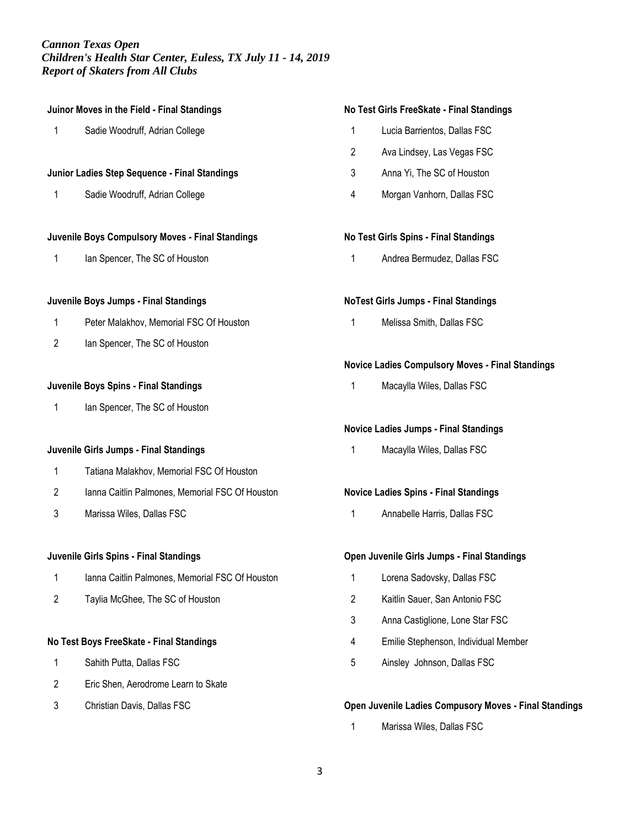| Juinor Moves in the Field - Final Standings   |                                                  |  |
|-----------------------------------------------|--------------------------------------------------|--|
| 1                                             | Sadie Woodruff, Adrian College                   |  |
|                                               |                                                  |  |
| Junior Ladies Step Sequence - Final Standings |                                                  |  |
| 1                                             | Sadie Woodruff, Adrian College                   |  |
|                                               |                                                  |  |
|                                               | Juvenile Boys Compulsory Moves - Final Standings |  |
| 1                                             | lan Spencer, The SC of Houston                   |  |
|                                               |                                                  |  |
|                                               | Juvenile Boys Jumps - Final Standings            |  |
| 1                                             | Peter Malakhov, Memorial FSC Of Houston          |  |
| 2                                             | lan Spencer, The SC of Houston                   |  |
|                                               |                                                  |  |
| Juvenile Boys Spins - Final Standings         |                                                  |  |
| 1                                             | lan Spencer, The SC of Houston                   |  |
|                                               |                                                  |  |
|                                               | Juvenile Girls Jumps - Final Standings           |  |
| 1                                             | Tatiana Malakhov, Memorial FSC Of Houston        |  |
| 2                                             | Ianna Caitlin Palmones, Memorial FSC Of Houston  |  |
| 3                                             | Marissa Wiles, Dallas FSC                        |  |
|                                               |                                                  |  |
| Juvenile Girls Spins - Final Standings        |                                                  |  |
|                                               |                                                  |  |

- 1 Ianna Caitlin Palmones, Memorial FSC Of Houston
- 2 Taylia McGhee, The SC of Houston

# **No Test Boys FreeSkate - Final Standings**

- 1 Sahith Putta, Dallas FSC
- 2 Eric Shen, Aerodrome Learn to Skate
- 3 Christian Davis, Dallas FSC

# **No Test Girls FreeSkate - Final Standings**

- 1 Lucia Barrientos, Dallas FSC
- 2 Ava Lindsey, Las Vegas FSC
- 3 Anna Yi, The SC of Houston
- 4 Morgan Vanhorn, Dallas FSC

# **No Test Girls Spins - Final Standings**

1 Andrea Bermudez, Dallas FSC

# **NoTest Girls Jumps - Final Standings**

1 Melissa Smith, Dallas FSC

# **Novice Ladies Compulsory Moves - Final Standings**

1 Macaylla Wiles, Dallas FSC

# **Novice Ladies Jumps - Final Standings**

1 Macaylla Wiles, Dallas FSC

# **Novice Ladies Spins - Final Standings**

1 Annabelle Harris, Dallas FSC

# **Open Juvenile Girls Jumps - Final Standings**

- 1 Lorena Sadovsky, Dallas FSC
- 2 Kaitlin Sauer, San Antonio FSC
- 3 Anna Castiglione, Lone Star FSC
- 4 Emilie Stephenson, Individual Member
- 5 Ainsley Johnson, Dallas FSC

# **Open Juvenile Ladies Compusory Moves - Final Standings**

1 Marissa Wiles, Dallas FSC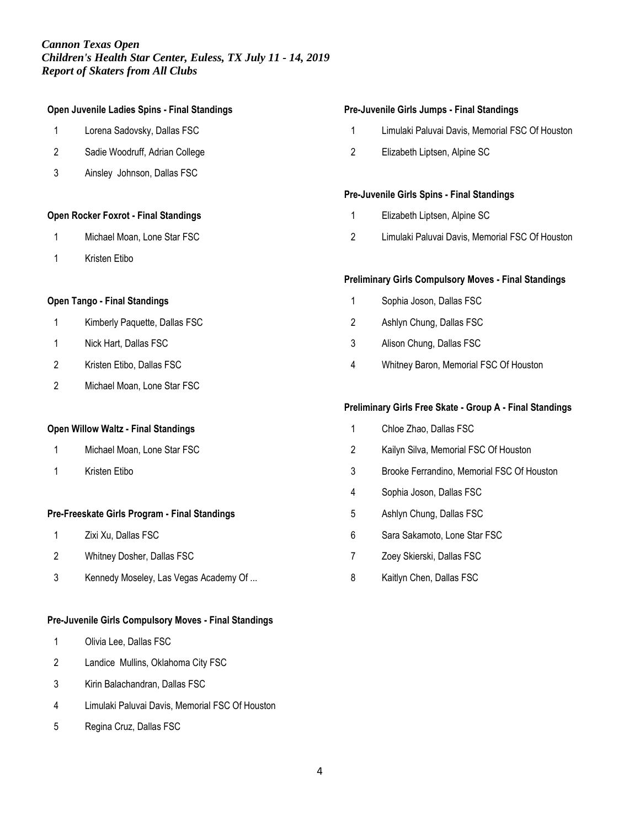# **Open Juvenile Ladies Spins - Final Standings**

- Lorena Sadovsky, Dallas FSC
- Sadie Woodruff, Adrian College
- Ainsley Johnson, Dallas FSC

### **Open Rocker Foxrot - Final Standings**

- Michael Moan, Lone Star FSC
- Kristen Etibo

# **Open Tango - Final Standings**

- Kimberly Paquette, Dallas FSC
- Nick Hart, Dallas FSC
- Kristen Etibo, Dallas FSC
- Michael Moan, Lone Star FSC

#### **Open Willow Waltz - Final Standings**

- Michael Moan, Lone Star FSC
- Kristen Etibo

# **Pre-Freeskate Girls Program - Final Standings**

- Zixi Xu, Dallas FSC
- Whitney Dosher, Dallas FSC
- Kennedy Moseley, Las Vegas Academy Of ...

### **Pre-Juvenile Girls Compulsory Moves - Final Standings**

- Olivia Lee, Dallas FSC
- Landice Mullins, Oklahoma City FSC
- Kirin Balachandran, Dallas FSC
- Limulaki Paluvai Davis, Memorial FSC Of Houston
- Regina Cruz, Dallas FSC

#### **Pre-Juvenile Girls Jumps - Final Standings**

- Limulaki Paluvai Davis, Memorial FSC Of Houston
- Elizabeth Liptsen, Alpine SC

### **Pre-Juvenile Girls Spins - Final Standings**

- Elizabeth Liptsen, Alpine SC
- Limulaki Paluvai Davis, Memorial FSC Of Houston

### **Preliminary Girls Compulsory Moves - Final Standings**

- Sophia Joson, Dallas FSC
- Ashlyn Chung, Dallas FSC
- Alison Chung, Dallas FSC
- Whitney Baron, Memorial FSC Of Houston

### **Preliminary Girls Free Skate - Group A - Final Standings**

- Chloe Zhao, Dallas FSC
- Kailyn Silva, Memorial FSC Of Houston
- Brooke Ferrandino, Memorial FSC Of Houston
- Sophia Joson, Dallas FSC
- Ashlyn Chung, Dallas FSC
- Sara Sakamoto, Lone Star FSC
- Zoey Skierski, Dallas FSC
- Kaitlyn Chen, Dallas FSC